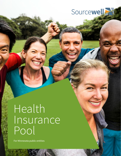

Health Insurance Pool

## Health Insurance Pool

For Minnesota public entities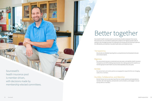# Better together

Sourcewell's health insurance pool is a community of public employers from across Minnesota who are committed to leading their people to the highest possible state of wellness, who leverage the power of cooperative purchasing and risk sharing to optimize the affordability and stability of valuable health plans and related services.

#### **Transparency**

We provide very detailed reporting from a comprehensive list of standard mid-year and renewal reports.

#### Rigorous

Our procurement process is conducted every two years, and satisfies Health Insurance Transparency Act (HITA) bidding requirements, thus making optional the need for our member groups to seek health insurance bids separately every two years.

#### Nimble

Our service team and vendor partners are equipped to respond to the ever-changing needs of our members.

#### Humble, Collaborative, and Attentive

We don't know it all, so we value input from our vendor partners and especially our members. We meet regularly, send periodic communications, and engage in annual surveys with our members.

Sourcewell's health insurance pool is member-driven, with decisions made by membership-elected committees.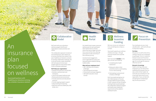We'll work with you to develop a wellness program that fits your organization's needs and drives real results.

The collaborative approach includes all Sourcewell groups, which allows you to connect and learn from others in the pool. HealthSource Solutions conducts bi-monthly collaborative meetings, and on the off months, meets individually with each group to ensure your program goals are met and the needs of your employees addressed.

#### **We'll help your organization:**

- Develop and execute an annual plan
- Develop a wellness team and champions
- Launch and support wellness tools
- Review policies and environment
- Provide awareness and educational resources
- Provide ongoing program support
- Setup tracking and reporting
- Maximize resources (health plan, EAP, broker, etc.)

#### Collaborative Model

Our Health Portal creates a personal wellness plan for each participant which allows them to choose where they want to begin and what their course will be; thus, allowing participants to take ownership of their wellness journey.

Activities boost engagement, enrich organizational culture and help participants establish lifelong healthy habits.

#### **What will your employees love?**

We sponsor on-site flu shot clinics. making it easy for your employees to participate. The U.S. Centers for Disease Control and Prevention recommend that everyone over the age of 6 months get the seasonal influenza vaccine.

- 200+ individual and company challenges
- Text tracking and reminders
- Fitness device and app integration • 100 health education virtual
- courses

#### Health Portal

 $\circledS$ 

on track.

Sourcewell supports your wellness initiatives two ways – through personal rewards and corporate

support.

Each Sourcewell **member** on the plan can earn up to \$250 by:

 1. Completing their health assessment

 2. Being up-to-date on their preventive exams or participating in an on-site screening

We know money can motivate us to try something new or keep us Funding

3. Participating in personal and



- 
- company challenges

Each Sourcewell pool group can earn \$50/employee on the plan through additional grant funding. In Year 1, groups can earn this grant funding simply by participating in the collaborative wellness program and health portal. Additional requirements will be added in subsequent years.

### Wellness Incentive

Your employees are your most valuable asset – we'll work with you to keep them healthy.

#### **Flu Shots**

#### **Biometric Screenings**

Health screenings show your employees you care about their wellbeing and empower them to take control of their health. We work with you to decide if on-site screenings make sense for your organization. If yes, we help with everything from scheduling to day-of-event promotions.

#### Focus on Prevention

An

insurance

focused

plan

on wellness

Sourcewell partners with

HealthSource Solutions to bring you a holistic insurance solution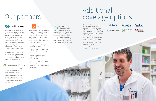

Get the support you need to build your family with Progyny, Sourcewell's fertility benefits partner. Progyny offers comprehensive coverage for every unique path to parenthood, personalized guidance with an assigned Patient Care Advocate, and access to the largest national network of fertility experts.

## Our partners coverage options



For the past 10 years, Sourcewell – in cooperation with HealthPartners – has offered a self-funded health insurance program. There are no Sourcewell membership or administrative fees required for participation, allowing additional funds to be available for claims payment and rate stabilization.

Negotiated benefit packages are duplicated and alternate plans are allowed, including consumer-driven health plans.

Our health insurance pool is memberdriven, with decisions made on your behalf by a membership-elected committee – including renewal rate and claims funding development.

#### HealthSource Solutions

While our health insurance pool is reserved for those within Minnesota, Sourcewell offers ancillary coverage options on a national scale. Offerings include dental, vision, disability, and life insurance options, as well as Employee Assistance Program services.

#### **Alliant**



Working with industry giants including Lincoln Financial, Colonial, and Alliant, Sourcewell is able to offer competitive pricing and second-to-none service throughout the country.

Learn more at sourcewell-mn.gov/insurance







employee





# Additional

Omada® is an innovative online program that surrounds you with everything you need to develop and sustain healthy habits, reducing your risk for certain chronic diseases. Eligible employees and their adult family members can utilize the program at no cost through the Sourcewell health plan.

Omada guides you step-by-step to better health. You'll get:

- A full-time health coach to keep you on track—on your best days and your worst
- Smart technology to track your progress, and reveal what is (and isn't) working for you
- Weekly healthy tips for better eating, fitness, sleep, and stress management
- The support of a small group of peers just like you



Sourcewell partners with HealthSource Solutions whose unique approach focuses on helping organizations develop and sustain a best-practice wellness program. Their hands-on approach helps you with planning, implementation, and evaluation, so you can maximize offerings while minimizing time.